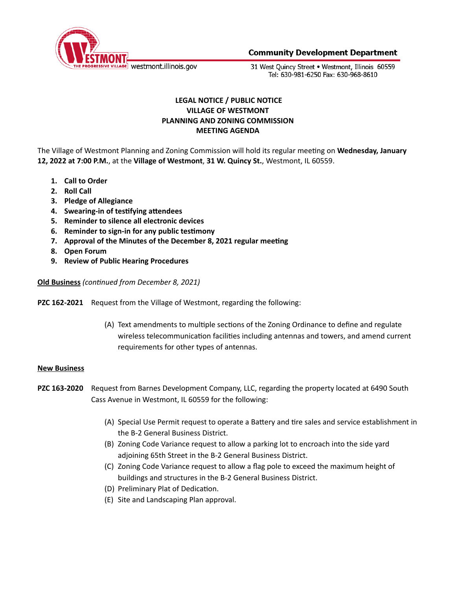

**Community Development Department** 

31 West Ouincy Street . Westmont, Illinois 60559 Tel: 630-981-6250 Fax: 630-968-8610

# **LEGAL NOTICE / PUBLIC NOTICE VILLAGE OF WESTMONT PLANNING AND ZONING COMMISSION MEETING AGENDA**

The Village of Westmont Planning and Zoning Commission will hold its regular meeting on Wednesday, January **12, 2022 at 7:00 P.M.**, at the **Village of Westmont**, **31 W. Quincy St.**, Westmont, IL 60559.

- **1. Call to Order**
- **2. Roll Call**
- **3. Pledge of Allegiance**
- **4.** Swearing-in of testifying attendees
- **5. Reminder to silence all electronic devices**
- **6. Reminder to sign-in for any public tesmony**
- **7. Approval of the Minutes of the December 8, 2021 regular meeting**
- **8. Open Forum**
- **9. Review of Public Hearing Procedures**

**Old Business** (continued from December 8, 2021)

**PZC 162-2021** Request from the Village of Westmont, regarding the following:

(A) Text amendments to multiple sections of the Zoning Ordinance to define and regulate wireless telecommunication facilities including antennas and towers, and amend current requirements for other types of antennas.

#### **New Business**

- **PZC 163-2020** Request from Barnes Development Company, LLC, regarding the property located at 6490 South Cass Avenue in Westmont, IL 60559 for the following:
	- (A) Special Use Permit request to operate a Battery and tire sales and service establishment in the B-2 General Business District.
	- (B) Zoning Code Variance request to allow a parking lot to encroach into the side yard adjoining 65th Street in the B-2 General Business District.
	- (C) Zoning Code Variance request to allow a flag pole to exceed the maximum height of buildings and structures in the B-2 General Business District.
	- (D) Preliminary Plat of Dedication.
	- (E) Site and Landscaping Plan approval.